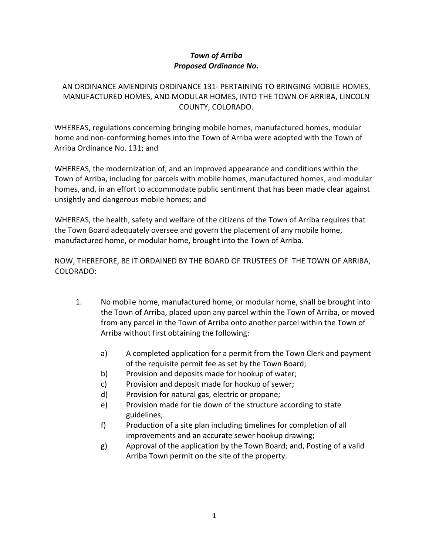## *Town of Arriba Proposed Ordinance No.*

## AN ORDINANCE AMENDING ORDINANCE 131- PERTAINING TO BRINGING MOBILE HOMES, MANUFACTURED HOMES, AND MODULAR HOMES, INTO THE TOWN OF ARRIBA, LINCOLN COUNTY, COLORADO.

WHEREAS, regulations concerning bringing mobile homes, manufactured homes, modular home and non-conforming homes into the Town of Arriba were adopted with the Town of Arriba Ordinance No. 131; and

WHEREAS, the modernization of, and an improved appearance and conditions within the Town of Arriba, including for parcels with mobile homes, manufactured homes, and modular homes, and, in an effort to accommodate public sentiment that has been made clear against unsightly and dangerous mobile homes; and

WHEREAS, the health, safety and welfare of the citizens of the Town of Arriba requires that the Town Board adequately oversee and govern the placement of any mobile home, manufactured home, or modular home, brought into the Town of Arriba.

NOW, THEREFORE, BE IT ORDAINED BY THE BOARD OF TRUSTEES OF THE TOWN OF ARRIBA, COLORADO:

- 1. No mobile home, manufactured home, or modular home, shall be brought into the Town of Arriba, placed upon any parcel within the Town of Arriba, or moved from any parcel in the Town of Arriba onto another parcel within the Town of Arriba without first obtaining the following:
	- a) A completed application for a permit from the Town Clerk and payment of the requisite permit fee as set by the Town Board;
	- b) Provision and deposits made for hookup of water;
	- c) Provision and deposit made for hookup of sewer;
	- d) Provision for natural gas, electric or propane;
	- e) Provision made for tie down of the structure according to state guidelines;
	- f) Production of a site plan including timelines for completion of all improvements and an accurate sewer hookup drawing;
	- g) Approval of the application by the Town Board; and, Posting of a valid Arriba Town permit on the site of the property.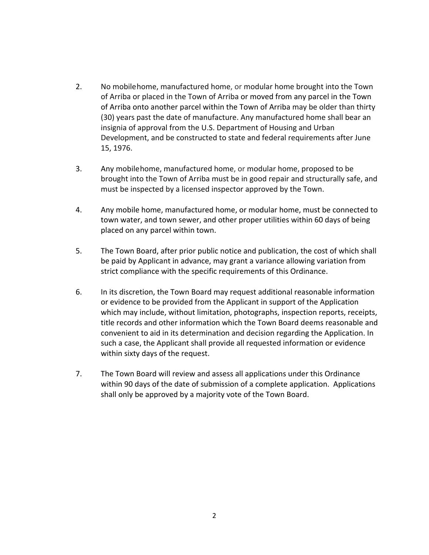- 2. No mobilehome, manufactured home, or modular home brought into the Town of Arriba or placed in the Town of Arriba or moved from any parcel in the Town of Arriba onto another parcel within the Town of Arriba may be older than thirty (30) years past the date of manufacture. Any manufactured home shall bear an insignia of approval from the U.S. Department of Housing and Urban Development, and be constructed to state and federal requirements after June 15, 1976.
- 3. Any mobilehome, manufactured home, or modular home, proposed to be brought into the Town of Arriba must be in good repair and structurally safe, and must be inspected by a licensed inspector approved by the Town.
- 4. Any mobile home, manufactured home, or modular home, must be connected to town water, and town sewer, and other proper utilities within 60 days of being placed on any parcel within town.
- 5. The Town Board, after prior public notice and publication, the cost of which shall be paid by Applicant in advance, may grant a variance allowing variation from strict compliance with the specific requirements of this Ordinance.
- 6. In its discretion, the Town Board may request additional reasonable information or evidence to be provided from the Applicant in support of the Application which may include, without limitation, photographs, inspection reports, receipts, title records and other information which the Town Board deems reasonable and convenient to aid in its determination and decision regarding the Application. In such a case, the Applicant shall provide all requested information or evidence within sixty days of the request.
- 7. The Town Board will review and assess all applications under this Ordinance within 90 days of the date of submission of a complete application. Applications shall only be approved by a majority vote of the Town Board.